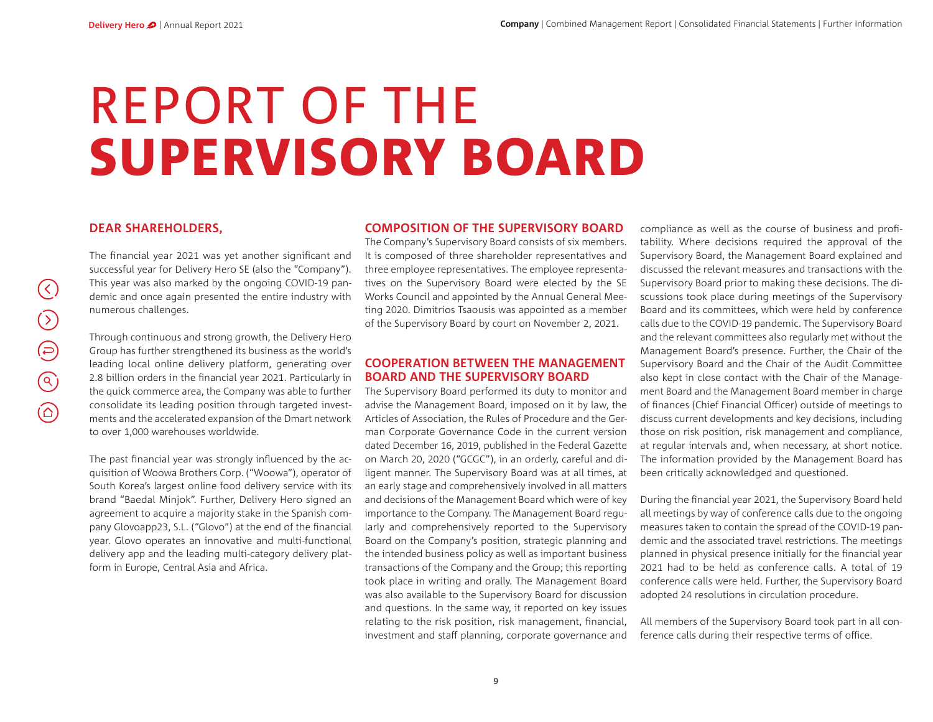# REPORT OF THESUPERVISORY BOARD

# **DEAR SHAREHOLDERS,**

The financial year 2021 was yet another significant and successful year for Delivery Hero SE (also the "Company"). This year was also marked by the ongoing COVID-19 pandemic and once again presented the entire industry with numerous challenges.

Through continuous and strong growth, the Delivery Hero Group has further strengthened its business as the world's leading local online delivery platform, generating over 2.8 billion orders in the financial year 2021. Particularly in the quick commerce area, the Company was able to further consolidate its leading position through targeted investments and the accelerated expansion of the Dmart network to over 1,000 warehouses worldwide.

The past financial year was strongly influenced by the acquisition of Woowa Brothers Corp. ("Woowa"), operator of South Korea's largest online food delivery service with its brand "Baedal Minjok". Further, Delivery Hero signed an agreement to acquire a majority stake in the Spanish company Glovoapp23, S.L. ("Glovo") at the end of the financial year. Glovo operates an innovative and multi-functional delivery app and the leading multi-category delivery platform in Europe, Central Asia and Africa.

#### **COMPOSITION OF THE SUPERVISORY BOARD**

The Company's Supervisory Board consists of six members. It is composed of three shareholder representatives and three employee representatives. The employee representatives on the Supervisory Board were elected by the SE Works Council and appointed by the Annual General Meeting 2020. Dimitrios Tsaousis was appointed as a member of the Supervisory Board by court on November<sup>2</sup>, 2021.

## **COOPERATION BETWEEN THE MANAGEMENT BOARD AND THE SUPERVISORY BOARD**

The Supervisory Board performed its duty to monitor and advise the Management Board, imposed on it by law, the Articles of Association, the Rules of Procedure and the German Corporate Governance Code in the current version dated December 16, 2019, published in the Federal Gazette on March 20, <sup>2020</sup> ("GCGC"), in an orderly, careful and diligent manner. The Supervisory Board was at all times, at an early stage and comprehensively involved in all matters and decisions of the Management Board which were of key importance to the Company. The Management Board regularly and comprehensively reported to the Supervisory Board on the Company's position, strategic planning and the intended business policy as well as important business transactions of the Company and the Group; this reporting took place in writing and orally. The Management Board was also available to the Supervisory Board for discussion and questions. In the same way, it reported on key issues relating to the risk position, risk management, financial, investment and staff planning, corporate governance and

compliance as well as the course of business and profitability. Where decisions required the approval of the Supervisory Board, the Management Board explained and discussed the relevant measures and transactions with the Supervisory Board prior to making these decisions. The discussions took place during meetings of the Supervisory Board and its committees, which were held by conference calls due to the COVID-19 pandemic. The Supervisory Board and the relevant committees also regularly met without the Management Board's presence. Further, the Chair of the Supervisory Board and the Chair of the Audit Committee also kept in close contact with the Chair of the Management Board and the Management Board member in charge of finances (Chief Financial Officer) outside of meetings to discuss current developments and key decisions, including those on risk position, risk management and compliance, at regular intervals and, when necessary, at short notice. The information provided by the Management Board has been critically acknowledged and questioned.

During the financial year 2021, the Supervisory Board held all meetings by way of conference calls due to the ongoing measures taken to contain the spread of the COVID-19 pandemic and the associated travel restrictions. The meetings planned in physical presence initially for the financial year 2021 had to be held as conference calls. A total of 19 conference calls were held. Further, the Supervisory Board adopted 24 resolutions in circulation procedure.

All members of the Supervisory Board took part in all conference calls during their respective terms of office.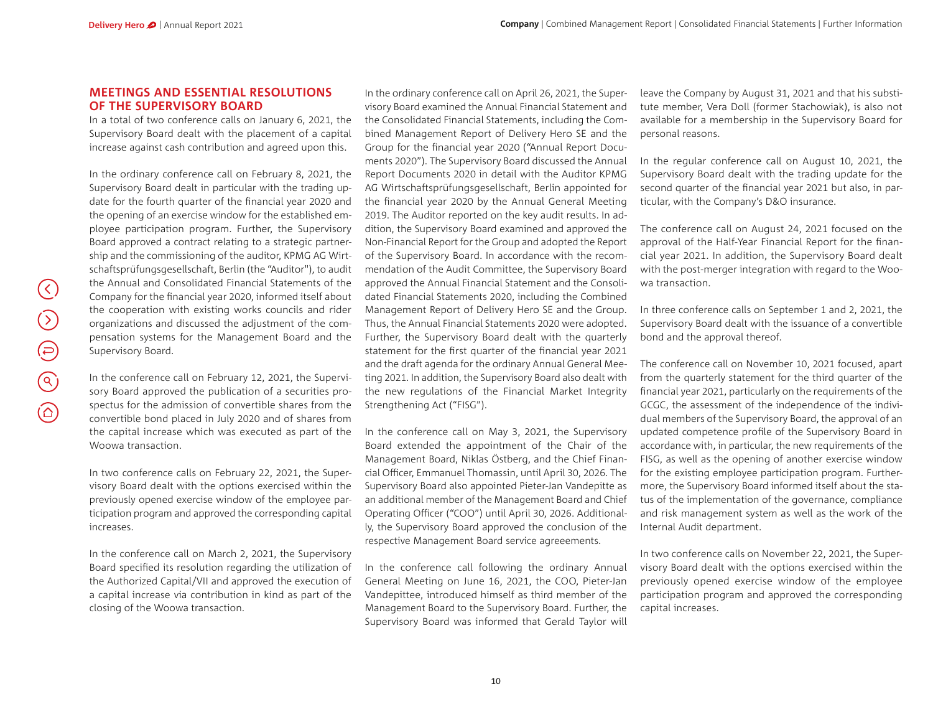## **MEETINGS AND ESSENTIAL RESOLUTIONS OF THE SUPERVISORY BOARD**

In a total of two conference calls on January 6, 2021, the Supervisory Board dealt with the placement of a capital increase against cash contribution and agreed upon this.

In the ordinary conference call on February 8, 2021, the Supervisory Board dealt in particular with the trading update for the fourth quarter of the financial year 2020 and the opening of an exercise window for the established employee participation program. Further, the Supervisory Board approved a contract relating to a strategic partnership and the commissioning of the auditor, KPMG AG Wirtschaftsprüfungsgesellschaft, Berlin (the "Auditor"), to audit the Annual and Consolidated Financial Statements of the Company for the financial year 2020, informed itself about the cooperation with existing works councils and rider organizations and discussed the adjustment of the compensation systems for the Management Board and the Supervisory Board.

In the conference call on February 12, 2021, the Supervisory Board approved the publication of a securities prospectus for the admission of convertible shares from the convertible bond placed in July 2020 and of shares from the capital increase which was executed as part of the Woowa transaction.

In two conference calls on February 22, 2021, the Supervisory Board dealt with the options exercised within the previously opened exercise window of the employee participation program and approved the corresponding capital increases.

In the conference call on March 2, 2021, the Supervisory Board specified its resolution regarding the utilization of the Authorized Capital/VII and approved the execution of a capital increase via contribution in kind as part of the closing of the Woowa transaction.

In the ordinary conference call on April<sup>26</sup>, 2021, the Supervisory Board examined the Annual Financial Statement and the Consolidated Financial Statements, including the Combined Management Report of Delivery Hero SE and the Group for the financial year 2020 ("Annual Report Documents <sup>2020</sup>"). The Supervisory Board discussed the Annual Report Documents 2020 in detail with the Auditor KPMG AG Wirtschaftsprüfungsgesellschaft, Berlin appointed for the financial year 2020 by the Annual General Meeting 2019. The Auditor reported on the key audit results. In addition, the Supervisory Board examined and approved the Non-Financial Report for the Group and adopted the Report of the Supervisory Board. In accordance with the recommendation of the Audit Committee, the Supervisory Board approved the Annual Financial Statement and the Consolidated Financial Statements 2020, including the Combined Management Report of Delivery Hero SE and the Group. Thus, the Annual Financial Statements 2020 were adopted. Further, the Supervisory Board dealt with the quarterly statement for the first quarter of the financial year 2021 and the draft agenda for the ordinary Annual General Meeting 2021. In addition, the Supervisory Board also dealt with the new regulations of the Financial Market Integrity Strengthening Act ("FISG").

In the conference call on May 3, 2021, the Supervisory Board extended the appointment of the Chair of the Management Board, Niklas Östberg, and the Chief Financial Officer, Emmanuel Thomassin, until April 30, 2026. The Supervisory Board also appointed Pieter-Jan Vandepitte as an additional member of the Management Board and Chief Operating Officer ("COO") until April 30, 2026. Additionally, the Supervisory Board approved the conclusion of the respective Management Board service agreeements.

In the conference call following the ordinary Annual General Meeting on June 16, 2021, the COO, Pieter-Jan Vandepittee, introduced himself as third member of the Management Board to the Supervisory Board. Further, the Supervisory Board was informed that Gerald Taylor will

leave the Company by August 31, 2021 and that his substitute member, Vera Doll (former Stachowiak), is also not available for a membership in the Supervisory Board for personal reasons.

In the regular conference call on August <sup>10</sup>, 2021, the Supervisory Board dealt with the trading update for the second quarter of the financial year 2021 but also, in particular, with the Company's D&O insurance.

The conference call on August 24, 2021 focused on the approval of the Half-Year Financial Report for the financial year 2021. In addition, the Supervisory Board dealt with the post-merger integration with regard to the Woowa transaction.

In three conference calls on September 1 and 2, 2021, the Supervisory Board dealt with the issuance of a convertible bond and the approval thereof.

The conference call on November 10, 2021 focused, apart from the quarterly statement for the third quarter of the financial year 2021, particularly on the requirements of the GCGC, the assessment of the independence of the individual members of the Supervisory Board, the approval of an updated competence profile of the Supervisory Board in accordance with, in particular, the new requirements of the FISG, as well as the opening of another exercise window for the existing employee participation program. Furthermore, the Supervisory Board informed itself about the status of the implementation of the governance, compliance and risk management system as well as the work of the Internal Audit department.

In two conference calls on November 22, 2021, the Supervisory Board dealt with the options exercised within the previously opened exercise window of the employee participation program and approved the corresponding capital increases.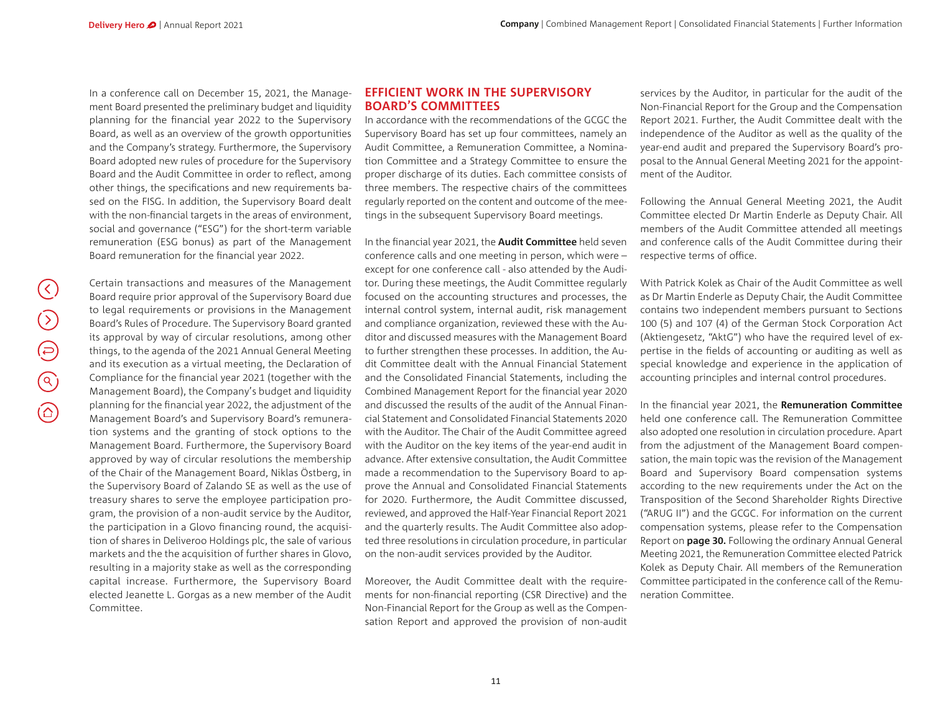In a conference call on December 15, 2021, the Management Board presented the preliminary budget and liquidity planning for the financial year 2022 to the Supervisory Board, as well as an overview of the growth opportunities and the Company's strategy. Furthermore, the Supervisory Board adopted new rules of procedure for the Supervisory Board and the Audit Committee in order to reflect, among other things, the specifications and new requirements based on the FISG. In addition, the Supervisory Board dealt with the non-financial targets in the areas of environment, social and governance ("ESG") for the short-term variable remuneration (ESG bonus) as part of the Management Board remuneration for the financial year 2022.

Certain transactions and measures of the Management Board require prior approval of the Supervisory Board due to legal requirements or provisions in the Management Board's Rules of Procedure. The Supervisory Board granted its approval by way of circular resolutions, among other things, to the agenda of the 2021 Annual General Meeting and its execution as a virtual meeting, the Declaration of Compliance for the financial year 2021 (together with the Management Board), the Company's budget and liquidity planning for the financial year 2022, the adjustment of the Management Board's and Supervisory Board's remuneration systems and the granting of stock options to the Management Board. Furthermore, the Supervisory Board approved by way of circular resolutions the membership of the Chair of the Management Board, Niklas Östberg, in the Supervisory Board of Zalando SE as well as the use of treasury shares to serve the employee participation program, the provision of a non-audit service by the Auditor, the participation in a Glovo financing round, the acquisition of shares in Deliveroo Holdings plc, the sale of various markets and the the acquisition of further shares in Glovo, resulting in a majority stake as well as the corresponding capital increase. Furthermore, the Supervisory Board elected Jeanette L. Gorgas as a new member of the Audit Committee.

## **EFFICIENT WORK IN THE SUPERVISORY BOARD'S COMMITTEES**

In accordance with the recommendations of the GCGC the Supervisory Board has set up four committees, namely an Audit Committee, a Remuneration Committee, a Nomination Committee and a Strategy Committee to ensure the proper discharge of its duties. Each committee consists of three members. The respective chairs of the committees regularly reported on the content and outcome of the meetings in the subsequent Supervisory Board meetings.

In the financial year 2021, the **Audit Committee** held seven conference calls and one meeting in person, which were – except for one conference call - also attended by the Auditor. During these meetings, the Audit Committee regularly focused on the accounting structures and processes, the internal control system, internal audit, risk management and compliance organization, reviewed these with the Auditor and discussed measures with the Management Board to further strengthen these processes. In addition, the Audit Committee dealt with the Annual Financial Statement and the Consolidated Financial Statements, including the Combined Management Report for the financial year 2020 and discussed the results of the audit of the Annual Financial Statement and Consolidated Financial Statements 2020with the Auditor. The Chair of the Audit Committee agreed with the Auditor on the key items of the year-end audit in advance. After extensive consultation, the Audit Committee made a recommendation to the Supervisory Board to approve the Annual and Consolidated Financial Statements for 2020. Furthermore, the Audit Committee discussed, reviewed, and approved the Half-Year Financial Report 2021 and the quarterly results. The Audit Committee also adopted three resolutions in circulation procedure, in particular on the non-audit services provided by the Auditor.

Moreover, the Audit Committee dealt with the requirements for non-financial reporting (CSR Directive) and the Non-Financial Report for the Group as well as the Compensation Report and approved the provision of non-audit

services by the Auditor, in particular for the audit of the Non-Financial Report for the Group and the Compensation Report 2021. Further, the Audit Committee dealt with the independence of the Auditor as well as the quality of the year-end audit and prepared the Supervisory Board's proposal to the Annual General Meeting 2021 for the appointment of the Auditor.

Following the Annual General Meeting 2021, the Audit Committee elected Dr Martin Enderle as Deputy Chair. All members of the Audit Committee attended all meetings and conference calls of the Audit Committee during their respective terms of office.

With Patrick Kolek as Chair of the Audit Committee as well as Dr Martin Enderle as Deputy Chair, the Audit Committee contains two independent members pursuant to Sections <sup>100</sup> (5) and 107 (4) of the German Stock Corporation Act (Aktiengesetz, "AktG") who have the required level of expertise in the fields of accounting or auditing as well as special knowledge and experience in the application of accounting principles and internal control procedures.

In the financial year 2021, the Remuneration Committee held one conference call. The Remuneration Committee also adopted one resolution in circulation procedure. Apart from the adjustment of the Management Board compensation, the main topic was the revision of the Management Board and Supervisory Board compensation systems according to the new requirements under the Act on the Transposition of the Second Shareholder Rights Directive ("ARUG II") and the GCGC. For information on the current compensation systems, please refer to the Compensation Report on **page 30.** Following the ordinary Annual General Meeting 2021, the Remuneration Committee elected Patrick Kolek as Deputy Chair. All members of the Remuneration Committee participated in the conference call of the Remuneration Committee.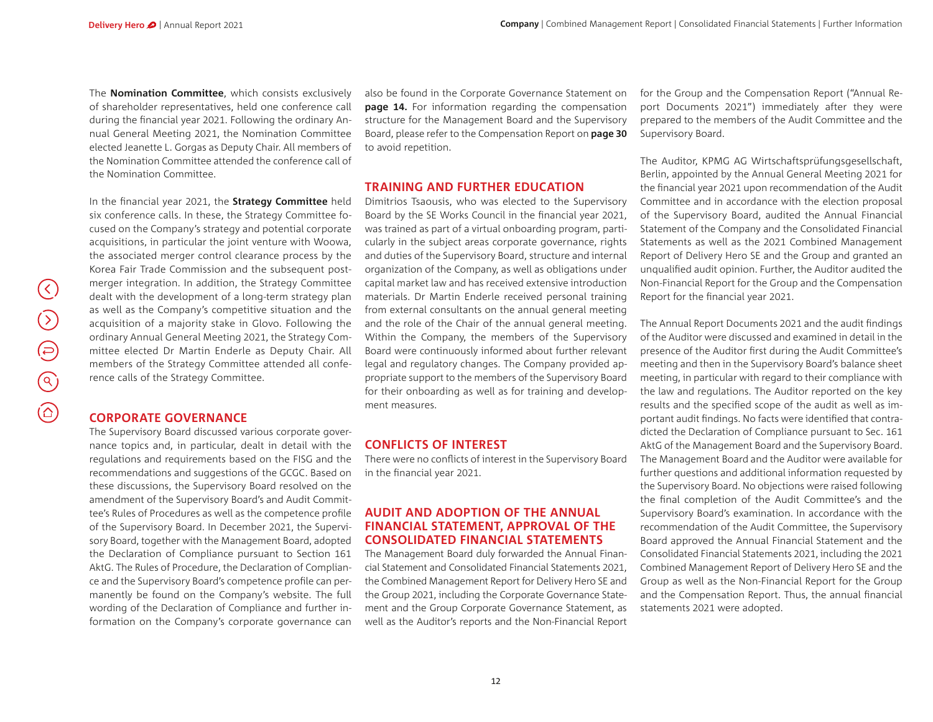The **Nomination Committee**, which consists exclusively of shareholder representatives, held one conference call during the financial year 2021. Following the ordinary Annual General Meeting 2021, the Nomination Committee elected Jeanette L. Gorgas as Deputy Chair. All members of the Nomination Committee attended the conference call of the Nomination Committee.

In the financial year 2021, the **Strategy Committee** held six conference calls. In these, the Strategy Committee focused on the Company's strategy and potential corporate acquisitions, in particular the joint venture with Woowa, the associated merger control clearance process by the Korea Fair Trade Commission and the subsequent postmerger integration. In addition, the Strategy Committee dealt with the development of a long-term strategy plan as well as the Company's competitive situation and the acquisition of a majority stake in Glovo. Following the ordinary Annual General Meeting 2021, the Strategy Committee elected Dr Martin Enderle as Deputy Chair. All members of the Strategy Committee attended all conference calls of the Strategy Committee.

## **CORPORATE GOVERNANCE**

The Supervisory Board discussed various corporate governance topics and, in particular, dealt in detail with the regulations and requirements based on the FISG and the recommendations and suggestions of the GCGC. Based on these discussions, the Supervisory Board resolved on the amendment of the Supervisory Board's and Audit Committee's Rules of Procedures as well as the competence profile of the Supervisory Board. In December <sup>2021</sup>, the Supervisory Board, together with the Management Board, adopted the Declaration of Compliance pursuant to Section 161 AktG. The Rules of Procedure, the Declaration of Compliance and the Supervisory Board's competence profile can permanently be found on the Company's website. The full wording of the Declaration of Compliance and further information on the Company's corporate governance can

also be found in the Corporate Governance Statement on **page 14.** For information regarding the compensation structure for the Management Board and the Supervisory Board, please refer to the Compensation Report on **page 30** to avoid repetition.

#### **TRAINING AND FURTHER EDUCATION**

Dimitrios Tsaousis, who was elected to the Supervisory Board by the SE Works Council in the financial year 2021, was trained as part of a virtual onboarding program, particularly in the subject areas corporate governance, rights and duties of the Supervisory Board, structure and internal organization of the Company, as well as obligations under capital market law and has received extensive introduction materials. Dr Martin Enderle received personal training from external consultants on the annual general meeting and the role of the Chair of the annual general meeting. Within the Company, the members of the Supervisory Board were continuously informed about further relevant legal and regulatory changes. The Company provided appropriate support to the members of the Supervisory Board for their onboarding as well as for training and development measures.

#### **CONFLICTS OF INTEREST**

There were no conflicts of interest in the Supervisory Board in the financial year 2021.

## **AUDIT AND ADOPTION OF THE ANNUAL FINANCIAL STATEMENT, APPROVAL OF THE CONSOLIDATED FINANCIAL STATEMENTS**

The Management Board duly forwarded the Annual Financial Statement and Consolidated Financial Statements 2021, the Combined Management Report for Delivery Hero SE and the Group 2021, including the Corporate Governance Statement and the Group Corporate Governance Statement, as well as the Auditor's reports and the Non-Financial Report

for the Group and the Compensation Report ("Annual Report Documents 2021") immediately after they were prepared to the members of the Audit Committee and the Supervisory Board.

The Auditor, KPMG AG Wirtschaftsprüfungsgesellschaft, Berlin, appointed by the Annual General Meeting 2021 for the financial year 2021 upon recommendation of the Audit Committee and in accordance with the election proposal of the Supervisory Board, audited the Annual Financial Statement of the Company and the Consolidated Financial Statements as well as the 2021 Combined Management Report of Delivery Hero SE and the Group and granted an unqualified audit opinion. Further, the Auditor audited the Non-Financial Report for the Group and the Compensation Report for the financial year 2021.

The Annual Report Documents 2021 and the audit findings of the Auditor were discussed and examined in detail in the presence of the Auditor first during the Audit Committee's meeting and then in the Supervisory Board's balance sheet meeting, in particular with regard to their compliance with the law and regulations. The Auditor reported on the key results and the specified scope of the audit as well as important audit findings. No facts were identified that contradicted the Declaration of Compliance pursuant to Sec. 161 AktG of the Management Board and the Supervisory Board. The Management Board and the Auditor were available for further questions and additional information requested by the Supervisory Board. No objections were raised following the final completion of the Audit Committee's and the Supervisory Board's examination. In accordance with the recommendation of the Audit Committee, the Supervisory Board approved the Annual Financial Statement and the Consolidated Financial Statements 2021, including the 2021 Combined Management Report of Delivery Hero SE and the Group as well as the Non-Financial Report for the Group and the Compensation Report. Thus, the annual financial statements 2021 were adopted.

 $(\langle \rangle)$ 

 $\bigcirc$ 

 $\bigoplus$ 

 $\circledS$ 

 $(\widehat{\triangle})$